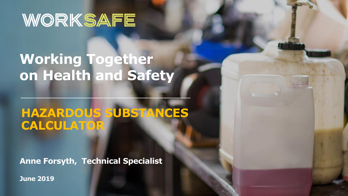# WORKSAFE

## **Working Together on Health and Safety**

### **HAZARDOUS SUBSTANCES CALCULATOR**

**Anne Forsyth, Technical Specialist**

**June 2019**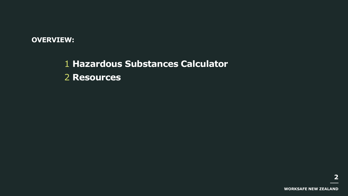#### **OVERVIEW:**

1 **Hazardous Substances Calculator** 2 **Resources**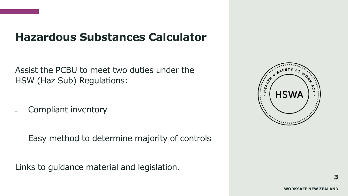### **Hazardous Substances Calculator**

Assist the PCBU to meet two duties under the HSW (Haz Sub) Regulations:

- Compliant inventory
- Easy method to determine majority of controls

Links to guidance material and legislation.

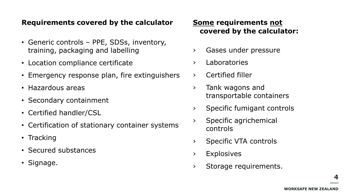#### **Requirements covered by the calculator**

- Generic controls PPE, SDSs, inventory, training, packaging and labelling
- Location compliance certificate
- Emergency response plan, fire extinguishers
- Hazardous areas
- Secondary containment
- Certified handler/CSL
- Certification of stationary container systems
- Tracking
- Secured substances
- Signage.

#### **Some requirements not covered by the calculator:**

- › Gases under pressure
- › Laboratories
- › Certified filler
- › Tank wagons and transportable containers
- › Specific fumigant controls
- › Specific agrichemical controls
- › Specific VTA controls
- › Explosives
- › Storage requirements.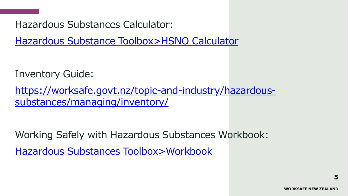Hazardous Substances Calculator:

[Hazardous Substance Toolbox>HSNO Calculator](http://www.hazardoussubstances.govt.nz/hsno-calculator)

Inventory Guide:

[https://worksafe.govt.nz/topic-and-industry/hazardous](https://worksafe.govt.nz/topic-and-industry/hazardous-substances/managing/inventory/)substances/managing/inventory/

Working Safely with Hazardous Substances Workbook:

[Hazardous Substances Toolbox>Workbook](http://www.hazardoussubstances.govt.nz/workbook)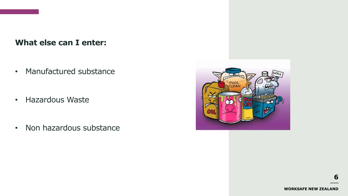**What else can I enter:**

• Manufactured substance

- Hazardous Waste
- Non hazardous substance

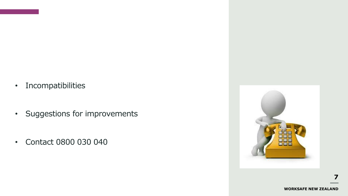- Incompatibilities
- Suggestions for improvements
- Contact 0800 030 040

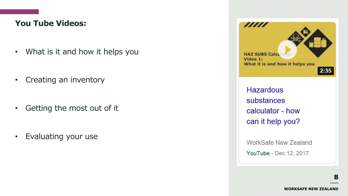### **You Tube Videos:**

- What is it and how it helps you
- Creating an inventory
- Getting the most out of it
- Evaluating your use



**Hazardous** substances calculator - how can it help you?

WorkSafe New Zealand YouTube - Dec 12, 2017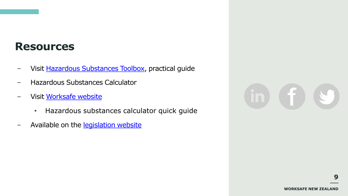### **Resources**

- Visit [Hazardous Substances Toolbox,](http://www.hazardoussubstances.govt.nz/) practical guide
- Hazardous Substances Calculator
- Visit [Worksafe website](http://www.worksafe.govt.nz/worksafe/information-guidance/guidance-by-industry/hsno)
	- Hazardous substances calculator quick guide
- Available on the **legislation website**